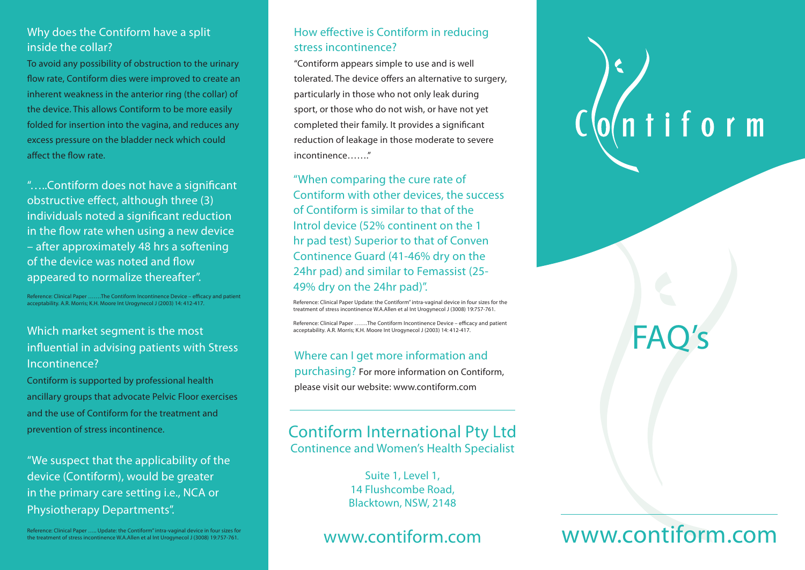#### Why does the Contiform have a split inside the collar?

To avoid any possibility of obstruction to the urinary flow rate, Contiform dies were improved to create an inherent weakness in the anterior ring (the collar) of the device. This allows Contiform to be more easily folded for insertion into the vagina, and reduces any excess pressure on the bladder neck which could affect the flow rate.

"…..Contiform does not have a significant obstructive effect, although three (3) individuals noted a significant reduction in the flow rate when using a new device – after approximately 48 hrs a softening of the device was noted and flow appeared to normalize thereafter".

Reference: Clinical Paper …….The Contiform Incontinence Device – efficacy and patient acceptability. A.R. Morris; K.H. Moore Int Urogynecol J (2003) 14: 412-417.

#### Which market segment is the most influential in advising patients with Stress Incontinence?

Contiform is supported by professional health ancillary groups that advocate Pelvic Floor exercises and the use of Contiform for the treatment and prevention of stress incontinence.

"We suspect that the applicability of the device (Contiform), would be greater in the primary care setting i.e., NCA or Physiotherapy Departments".

Reference: Clinical Paper ….. Update: the Contiform" intra-vaginal device in four sizes for the treatment of stress incontinence W.A.Allen et al Int Urogynecol J (3008) 19:757-761.

#### How effective is Contiform in reducing stress incontinence?

"Contiform appears simple to use and is well tolerated. The device offers an alternative to surgery, particularly in those who not only leak during sport, or those who do not wish, or have not yet completed their family. It provides a significant reduction of leakage in those moderate to severe incontinence…….."

"When comparing the cure rate of Contiform with other devices, the success of Contiform is similar to that of the Introl device (52% continent on the 1 hr pad test) Superior to that of Conven Continence Guard (41-46% dry on the 24hr pad) and similar to Femassist (25- 49% dry on the 24hr pad)".

Reference: Clinical Paper Update: the Contiform" intra-vaginal device in four sizes for the treatment of stress incontinence W.A.Allen et al Int Urogynecol J (3008) 19:757-761.

Reference: Clinical Paper …….The Contiform Incontinence Device – efficacy and patient acceptability. A.R. Morris; K.H. Moore Int Urogynecol J (2003) 14: 412-417.

Where can I get more information and purchasing? For more information on Contiform, please visit our website: www.contiform.com

### Contiform International Pty Ltd Continence and Women's Health Specialist

Suite 1, Level 1, 14 Flushcombe Road, Blacktown, NSW, 2148

## www.contiform.com

# $\sqrt{0}$ ntiform

# FAO

## www.contiform.com